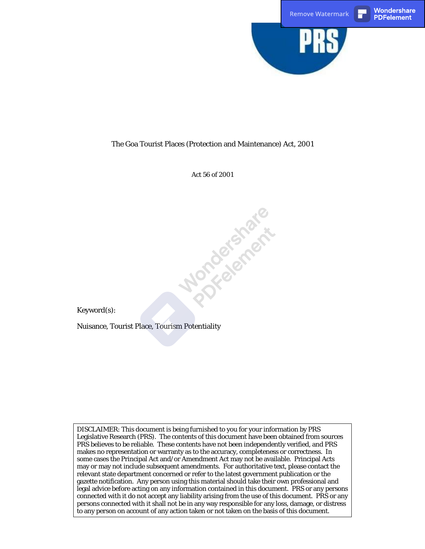

### The Goa Tourist Places (Protection and Maintenance) Act, 2001

Act 56 of 2001

Norcesterert.e

Keyword(s):

Nuisance, Tourist Place, Tourism Potentiality

DISCLAIMER: This document is being furnished to you for your information by PRS Legislative Research (PRS). The contents of this document have been obtained from sources PRS believes to be reliable. These contents have not been independently verified, and PRS makes no representation or warranty as to the accuracy, completeness or correctness. In some cases the Principal Act and/or Amendment Act may not be available. Principal Acts may or may not include subsequent amendments. For authoritative text, please contact the relevant state department concerned or refer to the latest government publication or the gazette notification. Any person using this material should take their own professional and legal advice before acting on any information contained in this document. PRS or any persons connected with it do not accept any liability arising from the use of this document. PRS or any persons connected with it shall not be in any way responsible for any loss, damage, or distress to any person on account of any action taken or not taken on the basis of this document.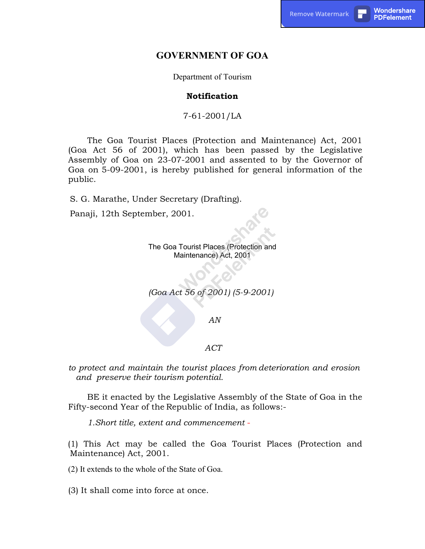## GOVERNMENT OF GOA

Department of Tourism

### **Notification**

7-61-2001/LA

The Goa Tourist Places (Protection and Maintenance) Act, 2001 (Goa Act 56 of 2001), which has been passed by the Legislative Assembly of Goa on 23-07-2001 and assented to by the Governor of Goa on 5-09-2001, is hereby published for general information of the public.

S. G. Marathe, Under Secretary (Drafting).

Panaji, 12th September, 2001.

The Goa Tourist Places (Protection and Maintenance) Act, 2001

(Goa Act 56 of 2001) (5-9-2001)

AN

### ACT

to protect and maintain the tourist places from deterioration and erosion and preserve their tourism potential.

BE it enacted by the Legislative Assembly of the State of Goa in the Fifty-second Year of the Republic of India, as follows:-

1.Short title, extent and commencement -

(1) This Act may be called the Goa Tourist Places (Protection and Maintenance) Act, 2001.

(2) It extends to the whole of the State of Goa.

(3) It shall come into force at once.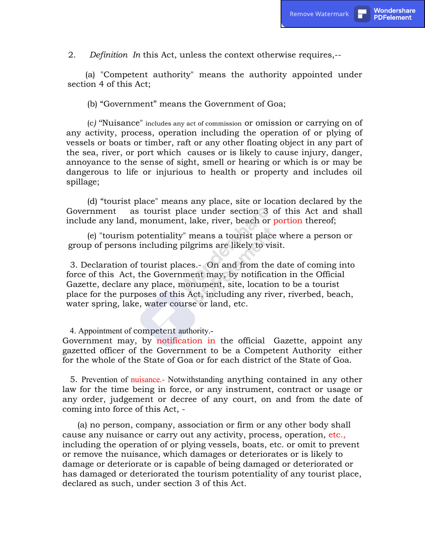2. Definition In this Act, unless the context otherwise requires,--

(a) "Competent authority" means the authority appointed under section 4 of this Act;

(b) "Government" means the Government of Goa;

(c) ''Nuisance" includes any act of commission or omission or carrying on of any activity, process, operation including the operation of or plying of vessels or boats or timber, raft or any other floating object in any part of the sea, river, or port which causes or is likely to cause injury, danger, annoyance to the sense of sight, smell or hearing or which is or may be dangerous to life or injurious to health or property and includes oil spillage;

(d) "tourist place" means any place, site or location declared by the Government as tourist place under section 3 of this Act and shall include any land, monument, lake, river, beach or portion thereof;

(e) "tourism potentiality" means a tourist place where a person or group of persons including pilgrims are likely to visit.

3. Declaration of tourist places.- On and from the date of coming into force of this Act, the Government may, by notification in the Official Gazette, declare any place, monument, site, location to be a tourist place for the purposes of this Act, including any river, riverbed, beach, water spring, lake, water course or land, etc.

4. Appointment of competent authority.-

Government may, by notification in the official Gazette, appoint any gazetted officer of the Government to be a Competent Authority either for the whole of the State of Goa or for each district of the State of Goa.

5. Prevention of nuisance.- Notwithstanding anything contained in any other law for the time being in force, or any instrument, contract or usage or any order, judgement or decree of any court, on and from the date of coming into force of this Act, -

(a) no person, company, association or firm or any other body shall cause any nuisance or carry out any activity, process, operation, etc., including the operation of or plying vessels, boats, etc. or omit to prevent or remove the nuisance, which damages or deteriorates or is likely to damage or deteriorate or is capable of being damaged or deteriorated or has damaged or deteriorated the tourism potentiality of any tourist place, declared as such, under section 3 of this Act.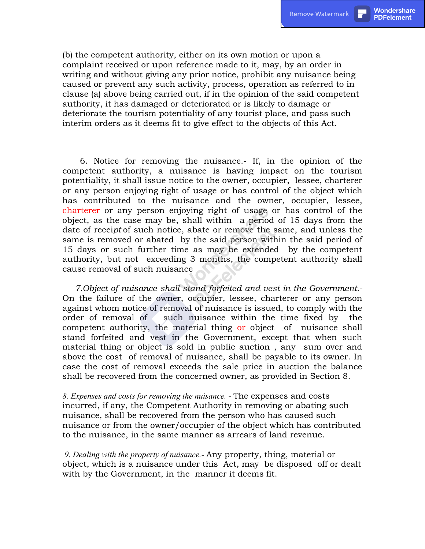(b) the competent authority, either on its own motion or upon a complaint received or upon reference made to it, may, by an order in writing and without giving any prior notice, prohibit any nuisance being caused or prevent any such activity, process, operation as referred to in clause (a) above being carried out, if in the opinion of the said competent authority, it has damaged or deteriorated or is likely to damage or deteriorate the tourism potentiality of any tourist place, and pass such interim orders as it deems fit to give effect to the objects of this Act.

6. Notice for removing the nuisance.- If, in the opinion of the competent authority, a nuisance is having impact on the tourism potentiality, it shall issue notice to the owner, occupier, lessee, charterer or any person enjoying right of usage or has control of the object which has contributed to the nuisance and the owner, occupier, lessee, charterer or any person enjoying right of usage or has control of the object, as the case may be, shall within a period of 15 days from the date of receipt of such notice, abate or remove the same, and unless the same is removed or abated by the said person within the said period of 15 days or such further time as may be extended by the competent authority, but not exceeding 3 months, the competent authority shall cause removal of such nuisance

7.Object of nuisance shall stand forfeited and vest in the Government.- On the failure of the owner, occupier, lessee, charterer or any person against whom notice of removal of nuisance is issued, to comply with the order of removal of such nuisance within the time fixed by the competent authority, the material thing or object of nuisance shall stand forfeited and vest in the Government, except that when such material thing or object is sold in public auction , any sum over and above the cost of removal of nuisance, shall be payable to its owner. In case the cost of removal exceeds the sale price in auction the balance shall be recovered from the concerned owner, as provided in Section 8.

8. Expenses and costs for removing the nuisance. - The expenses and costs incurred, if any, the Competent Authority in removing or abating such nuisance, shall be recovered from the person who has caused such nuisance or from the owner/occupier of the object which has contributed to the nuisance, in the same manner as arrears of land revenue.

 9. Dealing with the property of nuisance.- Any property, thing, material or object, which is a nuisance under this Act, may be disposed off or dealt with by the Government, in the manner it deems fit.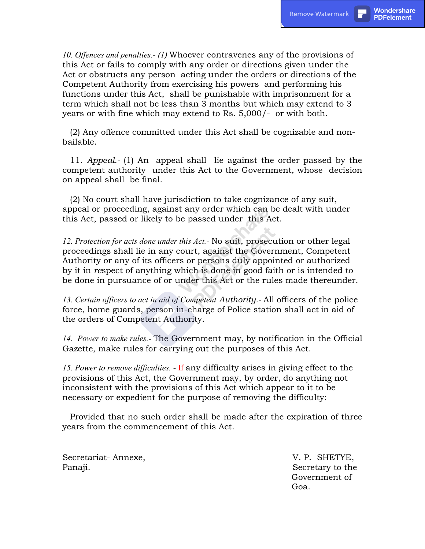10. Offences and penalties.- (1) Whoever contravenes any of the provisions of this Act or fails to comply with any order or directions given under the Act or obstructs any person acting under the orders or directions of the Competent Authority from exercising his powers and performing his functions under this Act, shall be punishable with imprisonment for a term which shall not be less than 3 months but which may extend to 3 years or with fine which may extend to Rs. 5,000/- or with both.

(2) Any offence committed under this Act shall be cognizable and nonbailable.

11. Appeal.- (1) An appeal shall lie against the order passed by the competent authority under this Act to the Government, whose decision on appeal shall be final.

(2) No court shall have jurisdiction to take cognizance of any suit, appeal or proceeding, against any order which can be dealt with under this Act, passed or likely to be passed under this Act.

12. Protection for acts done under this Act.- No suit, prosecution or other legal proceedings shall lie in any court, against the Government, Competent Authority or any of its officers or persons duly appointed or authorized by it in respect of anything which is done in good faith or is intended to be done in pursuance of or under this Act or the rules made thereunder.

13. Certain officers to act in aid of Competent Authority.- All officers of the police force, home guards, person in-charge of Police station shall act in aid of the orders of Competent Authority.

14. Power to make rules.- The Government may, by notification in the Official Gazette, make rules for carrying out the purposes of this Act.

15. Power to remove difficulties. - If any difficulty arises in giving effect to the provisions of this Act, the Government may, by order, do anything not inconsistent with the provisions of this Act which appear to it to be necessary or expedient for the purpose of removing the difficulty:

Provided that no such order shall be made after the expiration of three years from the commencement of this Act.

Secretariat- Annexe, V. P. SHETYE, Panaji. Secretary to the Secretary to the Secretary to the Secretary to the Secretary to the Secretary to the Secretary to the Secretary to the Secretary to the Secretary to the Secretary to the Secretary to the Secretary

 Government of Goa.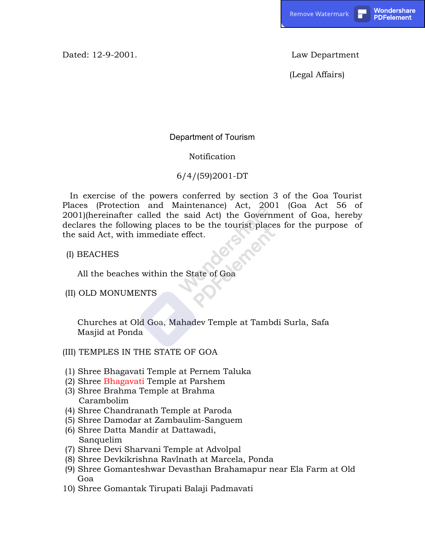Dated: 12-9-2001. Law Department

(Legal Affairs)

# Department of Tourism

## Notification

# 6/4/(59)2001-DT

In exercise of the powers conferred by section 3 of the Goa Tourist Places (Protection and Maintenance) Act, 2001 (Goa Act 56 of 2001)(hereinafter called the said Act) the Government of Goa, hereby declares the following places to be the tourist places for the purpose of the said Act, with immediate effect.

(I) BEACHES

All the beaches within the State of Goa

(II) OLD MONUMENTS

Churches at Old Goa, Mahadev Temple at Tambdi Surla, Safa Masjid at Ponda

## (III) TEMPLES IN THE STATE OF GOA

- (1) Shree Bhagavati Temple at Pernem Taluka
- (2) Shree Bhagavati Temple at Parshem
- (3) Shree Brahma Temple at Brahma Carambolim
- (4) Shree Chandranath Temple at Paroda
- (5) Shree Damodar at Zambaulim-Sanguem
- (6) Shree Datta Mandir at Dattawadi, Sanquelim
- (7) Shree Devi Sharvani Temple at Advolpal
- (8) Shree Devkikrishna Ravlnath at Marcela, Ponda
- (9) Shree Gomanteshwar Devasthan Brahamapur near Ela Farm at Old Goa
- 10) Shree Gomantak Tirupati Balaji Padmavati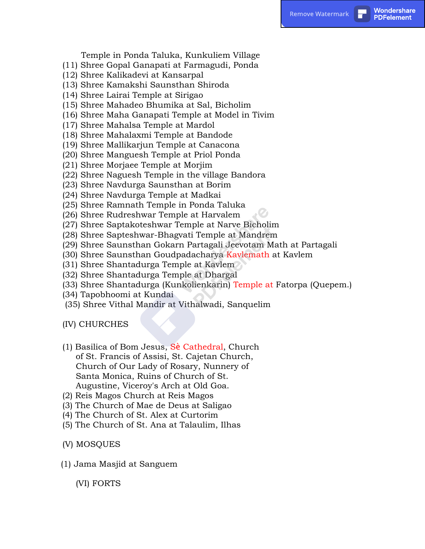Temple in Ponda Taluka, Kunkuliem Village

- (11) Shree Gopal Ganapati at Farmagudi, Ponda
- (12) Shree Kalikadevi at Kansarpal
- (13) Shree Kamakshi Saunsthan Shiroda
- (14) Shree Lairai Temple at Sirigao
- (15) Shree Mahadeo Bhumika at Sal, Bicholim
- (16) Shree Maha Ganapati Temple at Model in Tivim
- (17) Shree Mahalsa Temple at Mardol
- (18) Shree Mahalaxmi Temple at Bandode
- (19) Shree Mallikarjun Temple at Canacona
- (20) Shree Manguesh Temple at Priol Ponda
- (21) Shree Morjaee Temple at Morjim
- (22) Shree Naguesh Temple in the village Bandora
- (23) Shree Navdurga Saunsthan at Borim
- (24) Shree Navdurga Temple at Madkai
- (25) Shree Ramnath Temple in Ponda Taluka
- (26) Shree Rudreshwar Temple at Harvalem
- (27) Shree Saptakoteshwar Temple at Narve Bicholim
- (28) Shree Sapteshwar-Bhagvati Temple at Mandrem
- (29) Shree Saunsthan Gokarn Partagali Jeevotam Math at Partagali
- (30) Shree Saunsthan Goudpadacharya Kavlemath at Kavlem
- (31) Shree Shantadurga Temple at Kavlem
- (32) Shree Shantadurga Temple at Dhargal
- (33) Shree Shantadurga (Kunkolienkarin) Temple at Fatorpa (Quepem.)
- (34) Tapobhoomi at Kundai
- (35) Shree Vithal Mandir at Vithalwadi, Sanquelim
- (IV) CHURCHES
- (1) Basilica of Bom Jesus, Sè Cathedral, Church of St. Francis of Assisi, St. Cajetan Church, Church of Our Lady of Rosary, Nunnery of Santa Monica, Ruins of Church of St. Augustine, Viceroy's Arch at Old Goa.
- (2) Reis Magos Church at Reis Magos
- (3) The Church of Mae de Deus at Saligao
- (4) The Church of St. Alex at Curtorim
- (5) The Church of St. Ana at Talaulim, Ilhas
- (V) MOSQUES
- (1) Jama Masjid at Sanguem

(VI) FORTS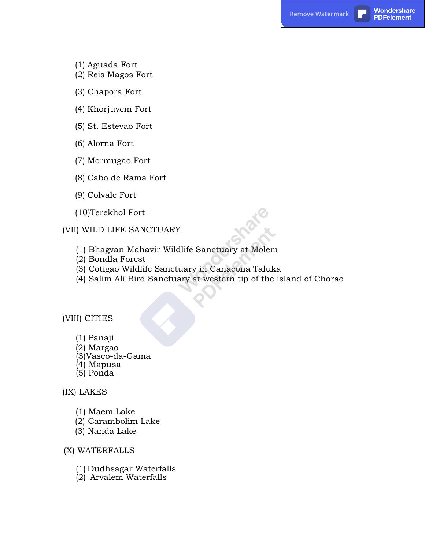- (1) Aguada Fort
- (2) Reis Magos Fort
- (3) Chapora Fort
- (4) Khorjuvem Fort
- (5) St. Estevao Fort
- (6) Alorna Fort
- (7) Mormugao Fort
- (8) Cabo de Rama Fort
- (9) Colvale Fort
- (10)Terekhol Fort

(VII) WILD LIFE SANCTUARY

- (1) Bhagvan Mahavir Wildlife Sanctuary at Molem
- (2) Bondla Forest
- (3) Cotigao Wildlife Sanctuary in Canacona Taluka
- (4) Salim Ali Bird Sanctuary at western tip of the island of Chorao

(VIII) CITIES

- (1) Panaji
- (2) Margao
- (3)Vasco-da-Gama
- (4) Mapusa
- (5) Ponda

#### (IX) LAKES

- (1) Maem Lake
- (2) Carambolim Lake
- (3) Nanda Lake

### (X) WATERFALLS

- (1) Dudhsagar Waterfalls
- (2) Arvalem Waterfalls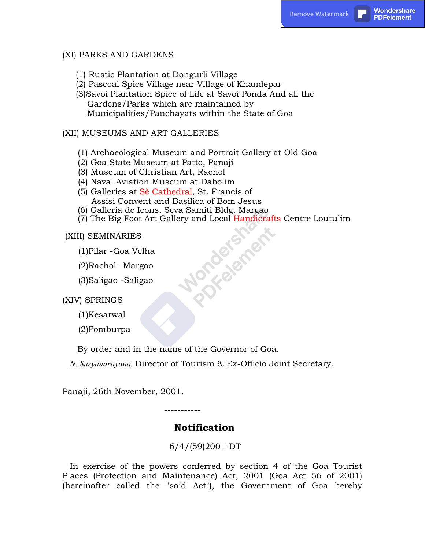## (XI) PARKS AND GARDENS

- (1) Rustic Plantation at Dongurli Village
- (2) Pascoal Spice Village near Village of Khandepar

(3)Savoi Plantation Spice of Life at Savoi Ponda And all the Gardens/Parks which are maintained by Municipalities/Panchayats within the State of Goa

## (XII) MUSEUMS AND ART GALLERIES

- (1) Archaeological Museum and Portrait Gallery at Old Goa
- (2) Goa State Museum at Patto, Panaji
- (3) Museum of Christian Art, Rachol
- (4) Naval Aviation Museum at Dabolim
- (5) Galleries at Sè Cathedral, St. Francis of Assisi Convent and Basilica of Bom Jesus
- 
- (6) Galleria de Icons, Seva Samiti Bldg. Margao<br>
(7) The Big Foot Art Gallery and Local Handicra<br>
(I) SEMINARIES<br>
(1)Pilar -Goa Velha<br>
(2)Rachol –Margao<br>
(3)Saligao -Saligao<br>
7) SPRINGS (7) The Big Foot Art Gallery and Local Handicrafts Centre Loutulim

(XIII) SEMINARIES

- (1)Pilar -Goa Velha
- (2)Rachol –Margao
- (3)Saligao -Saligao

(XIV) SPRINGS

(1)Kesarwal

(2)Pomburpa

By order and in the name of the Governor of Goa.

N. Suryanarayana, Director of Tourism & Ex-Officio Joint Secretary.

Panaji, 26th November, 2001.

-----------

# Notification

6/4/(59)2001-DT

In exercise of the powers conferred by section 4 of the Goa Tourist Places (Protection and Maintenance) Act, 2001 (Goa Act 56 of 2001) (hereinafter called the "said Act"), the Government of Goa hereby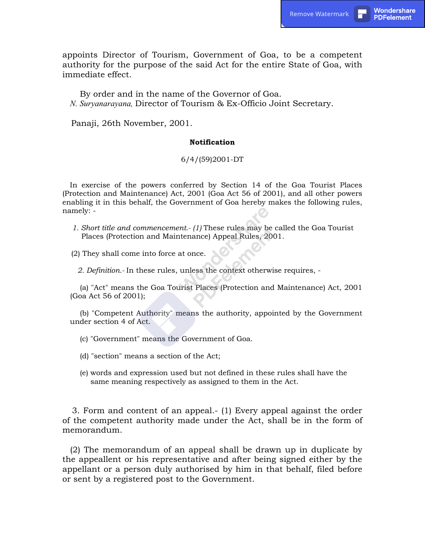appoints Director of Tourism, Government of Goa, to be a competent authority for the purpose of the said Act for the entire State of Goa, with immediate effect.

By order and in the name of the Governor of Goa. N. Suryanarayana, Director of Tourism & Ex-Officio Joint Secretary.

Panaji, 26th November, 2001.

#### **Notification**

#### 6/4/(59)2001-DT

In exercise of the powers conferred by Section 14 of the Goa Tourist Places (Protection and Maintenance) Act, 2001 (Goa Act 56 of 2001), and all other powers enabling it in this behalf, the Government of Goa hereby makes the following rules, namely: -

1. Short title and commencement.- (1) These rules may be called the Goa Tourist Places (Protection and Maintenance) Appeal Rules, 2001.

(2) They shall come into force at once.

2. Definition.- In these rules, unless the context otherwise requires, -

(a) "Act" means the Goa Tourist Places (Protection and Maintenance) Act, 2001 (Goa Act 56 of 2001);

(b) "Competent Authority" means the authority, appointed by the Government under section 4 of Act.

- (c) "Government" means the Government of Goa.
- (d) "section" means a section of the Act;
- (e) words and expression used but not defined in these rules shall have the same meaning respectively as assigned to them in the Act.

3. Form and content of an appeal.- (1) Every appeal against the order of the competent authority made under the Act, shall be in the form of memorandum.

(2) The memorandum of an appeal shall be drawn up in duplicate by the appeallent or his representative and after being signed either by the appellant or a person duly authorised by him in that behalf, filed before or sent by a registered post to the Government.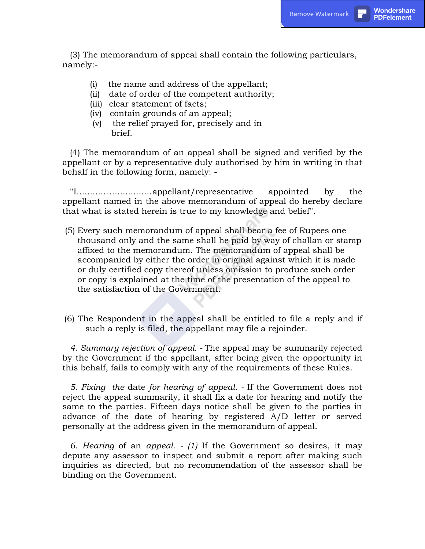(3) The memorandum of appeal shall contain the following particulars, namely:-

- (i) the name and address of the appellant;
- (ii) date of order of the competent authority;
- (iii) clear statement of facts;
- (iv) contain grounds of an appeal;
- (v) the relief prayed for, precisely and in brief.

(4) The memorandum of an appeal shall be signed and verified by the appellant or by a representative duly authorised by him in writing in that behalf in the following form, namely: -

''I............................appellant/representative appointed by the appellant named in the above memorandum of appeal do hereby declare that what is stated herein is true to my knowledge and belief''.

- (5) Every such memorandum of appeal shall bear a fee of Rupees one thousand only and the same shall he paid by way of challan or stamp affixed to the memorandum. The memorandum of appeal shall be accompanied by either the order in original against which it is made or duly certified copy thereof unless omission to produce such order or copy is explained at the time of the presentation of the appeal to the satisfaction of the Government.
- (6) The Respondent in the appeal shall be entitled to file a reply and if such a reply is filed, the appellant may file a rejoinder.

4. Summary rejection of appeal. - The appeal may be summarily rejected by the Government if the appellant, after being given the opportunity in this behalf, fails to comply with any of the requirements of these Rules.

5. Fixing the date for hearing of appeal. - If the Government does not reject the appeal summarily, it shall fix a date for hearing and notify the same to the parties. Fifteen days notice shall be given to the parties in advance of the date of hearing by registered A/D letter or served personally at the address given in the memorandum of appeal.

6. Hearing of an appeal. - (1) If the Government so desires, it may depute any assessor to inspect and submit a report after making such inquiries as directed, but no recommendation of the assessor shall be binding on the Government.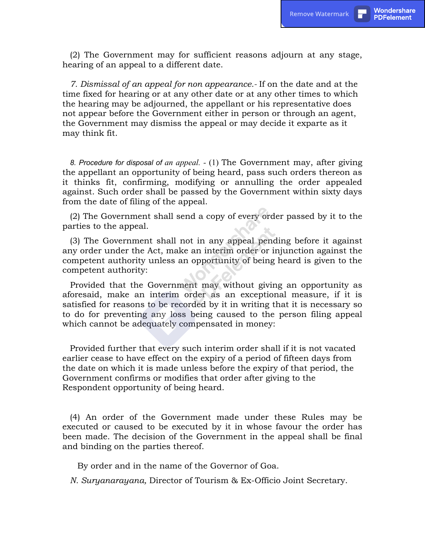(2) The Government may for sufficient reasons adjourn at any stage, hearing of an appeal to a different date.

7. Dismissal of an appeal for non appearance.- If on the date and at the time fixed for hearing or at any other date or at any other times to which the hearing may be adjourned, the appellant or his representative does not appear before the Government either in person or through an agent, the Government may dismiss the appeal or may decide it exparte as it may think fit.

8. Procedure for disposal of an appeal. - (1) The Government may, after giving the appellant an opportunity of being heard, pass such orders thereon as it thinks fit, confirming, modifying or annulling the order appealed against. Such order shall be passed by the Government within sixty days from the date of filing of the appeal.

(2) The Government shall send a copy of every order passed by it to the parties to the appeal.

(3) The Government shall not in any appeal pending before it against any order under the Act, make an interim order or injunction against the competent authority unless an opportunity of being heard is given to the competent authority:

Provided that the Government may without giving an opportunity as aforesaid, make an interim order as an exceptional measure, if it is satisfied for reasons to be recorded by it in writing that it is necessary so to do for preventing any loss being caused to the person filing appeal which cannot be adequately compensated in money:

Provided further that every such interim order shall if it is not vacated earlier cease to have effect on the expiry of a period of fifteen days from the date on which it is made unless before the expiry of that period, the Government confirms or modifies that order after giving to the Respondent opportunity of being heard.

(4) An order of the Government made under these Rules may be executed or caused to be executed by it in whose favour the order has been made. The decision of the Government in the appeal shall be final and binding on the parties thereof.

By order and in the name of the Governor of Goa.

N. Suryanarayana, Director of Tourism & Ex-Officio Joint Secretary.